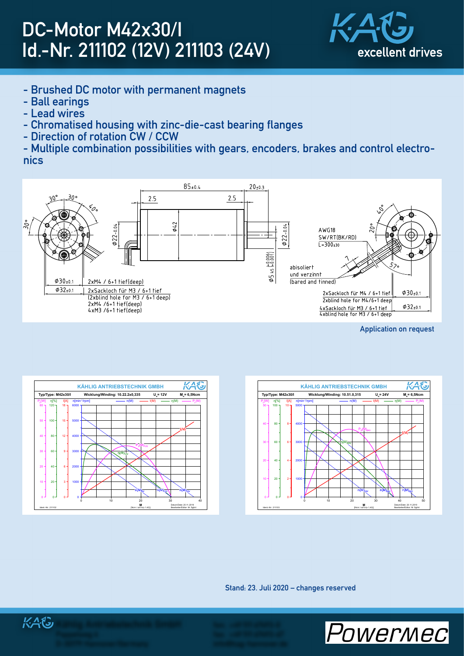## DC-Motor M42x30/I Id.-Nr. 211102 (12V) 211103 (24V)



- Brushed DC motor with permanent magnets
- Ball earings
- Lead wires
- Chromatised housing with zinc-die-cast bearing flanges
- Direction of rotation CW / CCW

- Multiple combination possibilities with gears, encoders, brakes and control electronics



Application on request



Stand: 23. Juli 2020 – changes reserved